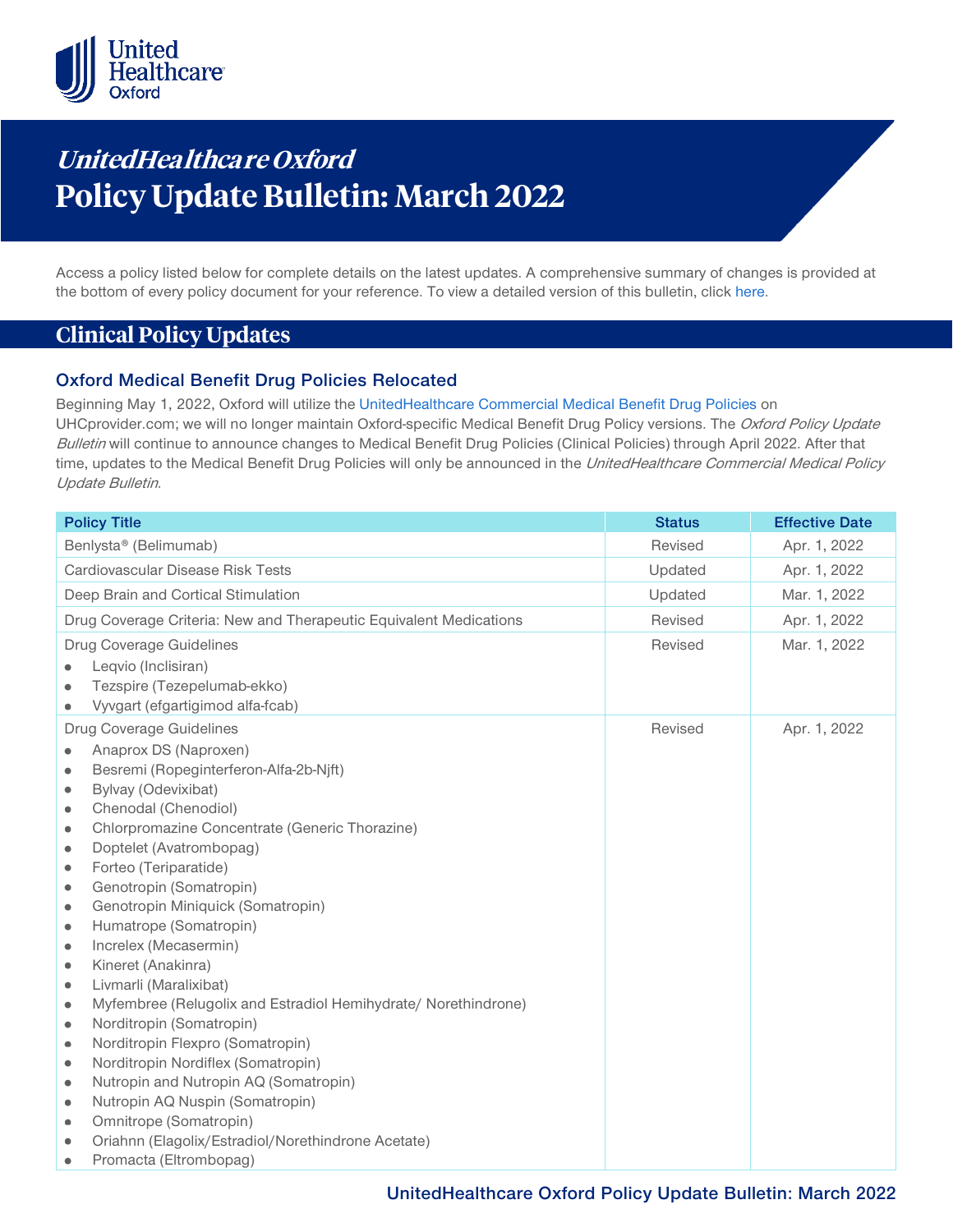

# **UnitedHealthca re Oxford Policy Update Bulletin: March 2022**

Access a policy listed below for complete details on the latest updates. A comprehensive summary of changes is provided at the bottom of every policy document for your reference. To view a detailed version of this bulletin, clic[k here.](https://www.uhcprovider.com/content/dam/provider/docs/public/policies/mpub-archives/oxford/oxford-policy-update-bulletin-march-2022-full.pdf)

## **Clinical Policy Updates**

### **Oxford Medical Benefit Drug Policies Relocated**

Beginning May 1, 2022, Oxford will utilize the [UnitedHealthcare Commercial Medical Benefit Drug Policies](https://www.uhcprovider.com/en/policies-protocols/commercial-policies/commercial-medical-drug-policies.html) on UHCprovider.com; we will no longer maintain Oxford-specific Medical Benefit Drug Policy versions. The Oxford Policy Update Bulletin will continue to announce changes to Medical Benefit Drug Policies (Clinical Policies) through April 2022. After that time, updates to the Medical Benefit Drug Policies will only be announced in the UnitedHealthcare Commercial Medical Policy Update Bulletin.

| <b>Policy Title</b>                                                         | <b>Status</b> | <b>Effective Date</b> |
|-----------------------------------------------------------------------------|---------------|-----------------------|
| Benlysta® (Belimumab)                                                       | Revised       | Apr. 1, 2022          |
| Cardiovascular Disease Risk Tests                                           | Updated       | Apr. 1, 2022          |
| Deep Brain and Cortical Stimulation                                         | Updated       | Mar. 1, 2022          |
| Drug Coverage Criteria: New and Therapeutic Equivalent Medications          | Revised       | Apr. 1, 2022          |
| Drug Coverage Guidelines                                                    | Revised       | Mar. 1, 2022          |
| Leqvio (Inclisiran)                                                         |               |                       |
| Tezspire (Tezepelumab-ekko)                                                 |               |                       |
| Vyvgart (efgartigimod alfa-fcab)                                            |               |                       |
| Drug Coverage Guidelines                                                    | Revised       | Apr. 1, 2022          |
| Anaprox DS (Naproxen)                                                       |               |                       |
| Besremi (Ropeginterferon-Alfa-2b-Njft)<br>۰                                 |               |                       |
| Bylvay (Odevixibat)<br>$\bullet$                                            |               |                       |
| Chenodal (Chenodiol)<br>$\bullet$                                           |               |                       |
| Chlorpromazine Concentrate (Generic Thorazine)<br>۰                         |               |                       |
| Doptelet (Avatrombopag)<br>۰                                                |               |                       |
| Forteo (Teriparatide)<br>$\bullet$                                          |               |                       |
| Genotropin (Somatropin)<br>$\bullet$                                        |               |                       |
| Genotropin Miniquick (Somatropin)<br>۰                                      |               |                       |
| Humatrope (Somatropin)<br>۰                                                 |               |                       |
| Increlex (Mecasermin)<br>۰                                                  |               |                       |
| Kineret (Anakinra)<br>۰                                                     |               |                       |
| Livmarli (Maralixibat)<br>$\bullet$                                         |               |                       |
| Myfembree (Relugolix and Estradiol Hemihydrate/ Norethindrone)<br>$\bullet$ |               |                       |
| Norditropin (Somatropin)<br>۰                                               |               |                       |
| Norditropin Flexpro (Somatropin)<br>۰                                       |               |                       |
| Norditropin Nordiflex (Somatropin)<br>$\bullet$                             |               |                       |
| Nutropin and Nutropin AQ (Somatropin)<br>۰                                  |               |                       |
| Nutropin AQ Nuspin (Somatropin)<br>$\bullet$                                |               |                       |
| Omnitrope (Somatropin)<br>۰                                                 |               |                       |
| Oriahnn (Elagolix/Estradiol/Norethindrone Acetate)                          |               |                       |
| Promacta (Eltrombopag)<br>۰                                                 |               |                       |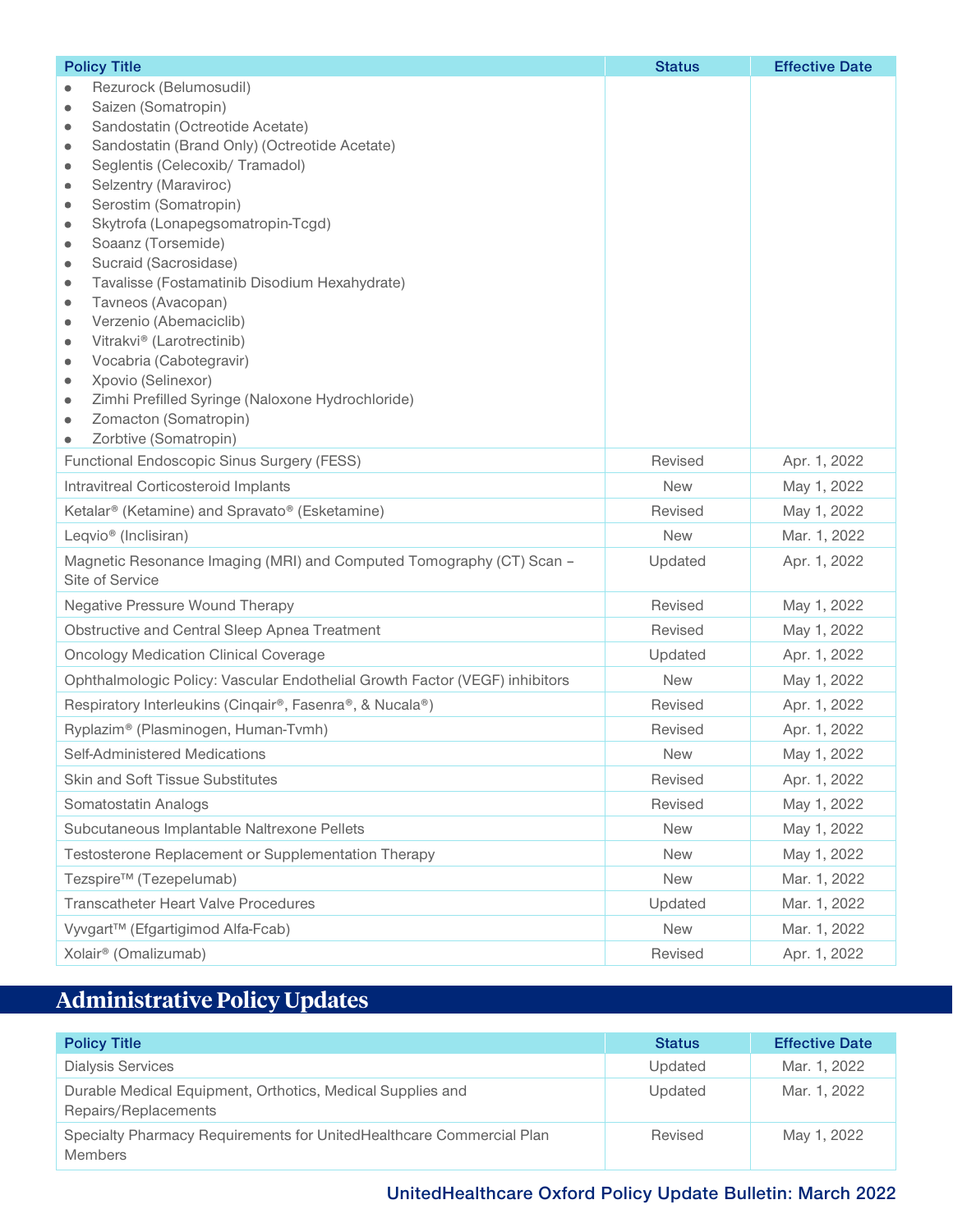| <b>Policy Title</b>                                                                         | <b>Status</b> | <b>Effective Date</b> |
|---------------------------------------------------------------------------------------------|---------------|-----------------------|
| Rezurock (Belumosudil)                                                                      |               |                       |
| Saizen (Somatropin)<br>۰                                                                    |               |                       |
| Sandostatin (Octreotide Acetate)<br>۰<br>Sandostatin (Brand Only) (Octreotide Acetate)<br>۰ |               |                       |
| Seglentis (Celecoxib/ Tramadol)<br>۰                                                        |               |                       |
| Selzentry (Maraviroc)<br>۰                                                                  |               |                       |
| Serostim (Somatropin)<br>۰                                                                  |               |                       |
| Skytrofa (Lonapegsomatropin-Tcgd)<br>۰                                                      |               |                       |
| Soaanz (Torsemide)<br>$\bullet$                                                             |               |                       |
| Sucraid (Sacrosidase)<br>۰<br>Tavalisse (Fostamatinib Disodium Hexahydrate)                 |               |                       |
| ۰<br>Tavneos (Avacopan)<br>$\bullet$                                                        |               |                       |
| Verzenio (Abemaciclib)<br>۰                                                                 |               |                       |
| Vitrakvi® (Larotrectinib)<br>۰                                                              |               |                       |
| Vocabria (Cabotegravir)<br>۰                                                                |               |                       |
| Xpovio (Selinexor)<br>۰                                                                     |               |                       |
| Zimhi Prefilled Syringe (Naloxone Hydrochloride)<br>۰<br>Zomacton (Somatropin)              |               |                       |
| ۰<br>Zorbtive (Somatropin)<br>۰                                                             |               |                       |
| Functional Endoscopic Sinus Surgery (FESS)                                                  | Revised       | Apr. 1, 2022          |
| <b>Intravitreal Corticosteroid Implants</b>                                                 | <b>New</b>    | May 1, 2022           |
| Ketalar® (Ketamine) and Spravato® (Esketamine)                                              | Revised       | May 1, 2022           |
| Leqvio <sup>®</sup> (Inclisiran)                                                            | <b>New</b>    | Mar. 1, 2022          |
| Magnetic Resonance Imaging (MRI) and Computed Tomography (CT) Scan -<br>Site of Service     | Updated       | Apr. 1, 2022          |
| <b>Negative Pressure Wound Therapy</b>                                                      | Revised       | May 1, 2022           |
| Obstructive and Central Sleep Apnea Treatment                                               | Revised       | May 1, 2022           |
| <b>Oncology Medication Clinical Coverage</b>                                                | Updated       | Apr. 1, 2022          |
| Ophthalmologic Policy: Vascular Endothelial Growth Factor (VEGF) inhibitors                 | <b>New</b>    | May 1, 2022           |
| Respiratory Interleukins (Cinqair®, Fasenra®, & Nucala®)                                    | Revised       | Apr. 1, 2022          |
| Ryplazim® (Plasminogen, Human-Tvmh)                                                         | Revised       | Apr. 1, 2022          |
| Self-Administered Medications                                                               | <b>New</b>    | May 1, 2022           |
| <b>Skin and Soft Tissue Substitutes</b>                                                     | Revised       | Apr. 1, 2022          |
| Somatostatin Analogs                                                                        | Revised       | May 1, 2022           |
| Subcutaneous Implantable Naltrexone Pellets                                                 | <b>New</b>    | May 1, 2022           |
| Testosterone Replacement or Supplementation Therapy                                         | <b>New</b>    | May 1, 2022           |
| Tezspire <sup>™</sup> (Tezepelumab)                                                         | <b>New</b>    | Mar. 1, 2022          |
| <b>Transcatheter Heart Valve Procedures</b>                                                 | Updated       | Mar. 1, 2022          |
| Vyvgart <sup>™</sup> (Efgartigimod Alfa-Fcab)                                               | <b>New</b>    | Mar. 1, 2022          |
| Xolair <sup>®</sup> (Omalizumab)                                                            | Revised       | Apr. 1, 2022          |

# **Administrative Policy Updates**

| <b>Policy Title</b>                                                                    | <b>Status</b> | <b>Effective Date</b> |
|----------------------------------------------------------------------------------------|---------------|-----------------------|
| <b>Dialysis Services</b>                                                               | Updated       | Mar. 1, 2022          |
| Durable Medical Equipment, Orthotics, Medical Supplies and<br>Repairs/Replacements     | Updated       | Mar. 1, 2022          |
| Specialty Pharmacy Requirements for UnitedHealthcare Commercial Plan<br><b>Members</b> | Revised       | May 1, 2022           |